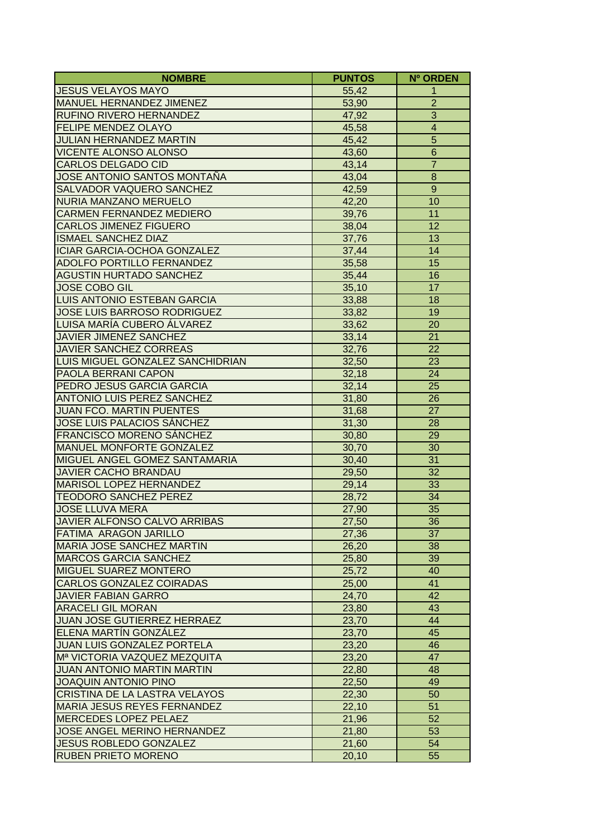| <b>NOMBRE</b>                            | <b>PUNTOS</b>  | Nº ORDEN                |
|------------------------------------------|----------------|-------------------------|
| <b>JESUS VELAYOS MAYO</b>                | 55,42          | 1                       |
| MANUEL HERNANDEZ JIMENEZ                 | 53,90          | $\overline{c}$          |
| RUFINO RIVERO HERNANDEZ                  | 47,92          | $\overline{3}$          |
| <b>FELIPE MENDEZ OLAYO</b>               | 45,58          | $\overline{\mathbf{4}}$ |
| JULIAN HERNANDEZ MARTIN                  | 45,42          | $\overline{5}$          |
| VICENTE ALONSO ALONSO                    | 43,60          | $\overline{6}$          |
| <b>CARLOS DELGADO CID</b>                | 43,14          | $\overline{7}$          |
| JOSE ANTONIO SANTOS MONTAÑA              | 43,04          | 8                       |
| <b>SALVADOR VAQUERO SANCHEZ</b>          | 42,59          | $\overline{9}$          |
| NURIA MANZANO MERUELO                    | 42,20          | 10                      |
| <b>CARMEN FERNANDEZ MEDIERO</b>          | 39,76          | 11                      |
| <b>CARLOS JIMENEZ FIGUERO</b>            | 38,04          | 12                      |
| <b>ISMAEL SANCHEZ DIAZ</b>               | 37,76          | $\overline{13}$         |
| <b>ICIAR GARCIA-OCHOA GONZALEZ</b>       | 37,44          | 14                      |
| <b>ADOLFO PORTILLO FERNANDEZ</b>         | 35,58          | 15                      |
| <b>AGUSTIN HURTADO SANCHEZ</b>           | 35,44          | 16                      |
| <b>JOSE COBO GIL</b>                     | 35,10          | 17                      |
| <b>LUIS ANTONIO ESTEBAN GARCIA</b>       | 33,88          | 18                      |
| JOSE LUIS BARROSO RODRIGUEZ              | 33,82          | 19                      |
| LUISA MARÍA CUBERO ÁLVAREZ               | 33,62          | 20                      |
| JAVIER JIMENEZ SANCHEZ                   | 33,14          | 21                      |
| <b>JAVIER SANCHEZ CORREAS</b>            | 32,76          | 22                      |
| LUIS MIGUEL GONZALEZ SANCHIDRIAN         | 32,50          | 23                      |
| <b>PAOLA BERRANI CAPON</b>               | 32,18          | 24                      |
| <b>PEDRO JESUS GARCIA GARCIA</b>         | 32,14          | 25                      |
| <b>ANTONIO LUIS PEREZ SANCHEZ</b>        | 31,80          | 26                      |
| <b>JUAN FCO. MARTIN PUENTES</b>          | 31,68          | 27                      |
| <b>JOSE LUIS PALACIOS SÁNCHEZ</b>        |                | 28                      |
| <b>FRANCISCO MORENO SÁNCHEZ</b>          | 31,30          | 29                      |
| <b>MANUEL MONFORTE GONZALEZ</b>          | 30,80<br>30,70 | 30                      |
| MIGUEL ANGEL GOMEZ SANTAMARIA            |                | 31                      |
| <b>JAVIER CACHO BRANDAU</b>              | 30,40<br>29,50 | 32                      |
| <b>MARISOL LOPEZ HERNANDEZ</b>           | 29,14          | 33                      |
| <b>TEODORO SANCHEZ PEREZ</b>             | 28,72          | 34                      |
| <b>JOSE LLUVA MERA</b>                   |                | 35                      |
| JAVIER ALFONSO CALVO ARRIBAS             | 27,90<br>27,50 | $\overline{36}$         |
|                                          |                |                         |
| <b>FATIMA ARAGON JARILLO</b>             | 27,36          | 37                      |
| <b>MARIA JOSE SANCHEZ MARTIN</b>         | 26,20          | 38                      |
| MARCOS GARCIA SANCHEZ                    | 25,80          | 39                      |
| <b>MIGUEL SUAREZ MONTERO</b>             | 25,72          | 40                      |
| CARLOS GONZALEZ COIRADAS                 | 25,00          | 41                      |
| <b>JAVIER FABIAN GARRO</b>               | 24,70          | 42                      |
| <b>ARACELI GIL MORAN</b>                 | 23,80          | 43                      |
| <b>JUAN JOSE GUTIERREZ HERRAEZ</b>       | 23,70          | 44                      |
| <b>ELENA MARTÍN GONZÁLEZ</b>             | 23,70          | 45                      |
| <b>JUAN LUIS GONZALEZ PORTELA</b>        | 23,20          | 46                      |
| M <sup>a</sup> VICTORIA VAZQUEZ MEZQUITA | 23,20          | 47                      |
| <b>JUAN ANTONIO MARTIN MARTIN</b>        | 22,80          | 48                      |
| <b>JOAQUIN ANTONIO PINO</b>              | 22,50          | 49                      |
| <b>CRISTINA DE LA LASTRA VELAYOS</b>     | 22,30          | 50                      |
| MARIA JESUS REYES FERNANDEZ              | 22,10          | 51                      |
| MERCEDES LOPEZ PELAEZ                    | 21,96          | 52                      |
| JOSE ANGEL MERINO HERNANDEZ              | 21,80          | 53                      |
| <b>JESUS ROBLEDO GONZALEZ</b>            | 21,60          | 54                      |
| <b>RUBEN PRIETO MORENO</b>               | 20,10          | 55                      |